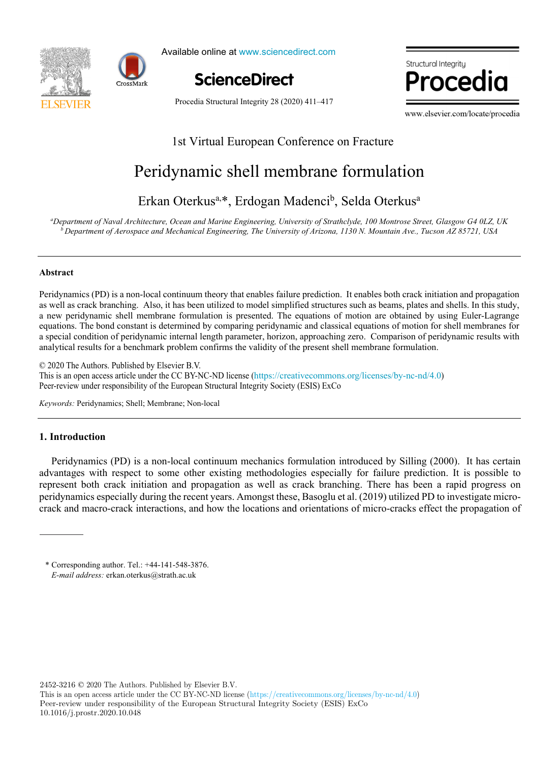



Available online at www.sciencedirect.com

**ScienceDirect**

Structural Intearitu וחר

www.elsevier.com/locate/procediate/procediate/procediate/procediate/procediate/

Procedia Structural Integrity 28 (2020) 411–417

www.elsevier.com/locate/procedia

# $\mathbf{P}$ 1st Virtual European Conference on Fracture

# Erkan Oterkusa,\*, Erdogan Madencib , Selda Oterkusa Peridynamic shell membrane formulation

# Erkan Oterkus<sup>a,\*</sup>, Erdogan Madenci<sup>b</sup>, Selda Oterkus<sup>a</sup>

<sup>a</sup>Department of Naval Architecture, Ocean and Marine Engineering, University of Strathclyde, 100 Montrose Street, Glasgow G4 0LZ, UK  $^b$  Department of Aerospace and Mechanical Engineering, The University of Arizona, 1130 N. Mountain Ave., Tucson AZ 85721, USA

## **Abstract**   $P_{\text{D}}$  is a non-local continuum that enables failure prediction. It enables both crack initiation and propagation and propagation and propagation and propagation and propagation and propagation and propagation and prop **Abstract**

as well as crack branching. Also, it has been utilized to model simplified structures such as beams, plates and shells. In this study, Peridynamics (PD) is a non-local continuum theory that enables failure prediction. It enables both crack initiation and propagation as well as crack branching. Also, it has been utilized to model simplified structures such as beams, plates and shells. In this study, a new peridynamic shell membrane formulation is presented. The equations of motion are obtained by using Euler-Lagrange equations. The bond constant is determined by comparing peridynamic and classical equations of motion for shell membranes for analytical results for a benchmark problem confirms the validity of the present shell membrane formulation. a special condition of peridynamic internal length parameter, horizon, approaching zero. Comparison of peridynamic results with

© 2020 The Authors. Published by Elsevier B.V. Exercise and open access article under the CC BY-NC-ND license (https://creativecommons.org/licenses/by-nc-nd/4.0) Peer-review under responsibility of the European Structural Integrity Society (ESIS) ExCo Peer-review under responsibility of the European Structural Integrity Society (ESIS) ExCo This is an open access article under the CC BY-NC-ND license (https://creativecommons.org/licenses/by-nc-nd/4.0)<br>December 2018 1980 license (https://creativecommons.org/licenses/by-nc-nd/4.0)

*Keywords:* Peridynamics; Shell; Membrane; Non-local *Keywords:* Peridynamics; Shell; Membrane; Non-local

## **1. Introduction**

Peridynamics (PD) is a non-local continuum mechanics formulation introduced by Silling (2000). It has certain advantages with respect to some other existing methodologies especially for failure prediction. It is possible to represent both crack initiation and propagation as well as crack branching. There has been a rapid progress on represent both crack initiation and propagation as well as crack branching. There has been a rapid progress on peridynamics especially during the recent years. Amongst these, Basoglu et al. (2019) utilized PD to investigate microperhynamics especially during the recent years. Amongst these, Basogni et al. (2019) utilized 1 D to investigate intro-<br>crack and macro-crack interactions, and how the locations and orientations of micro-cracks effect the prider and macro-crack micractions, and now the recations and orientations or micro-cracks criect the propagation of

\* Corresponding author. Tel.: +44-141-548-3876. *E-mail address:* erkan.oterkus@strath.ac.uk \* Corresponding author. Tel.: +44-141-548-3876.

2452-3216 © 2020 The Authors. Published by Elsevier B.V.

This is an open access article under the CC BY-NC-ND license (https://creativecommons.org/licenses/by-nc-nd/4.0) Peer-review under responsibility of the European Structural Integrity Society (ESIS) ExCo 10.1016/j.prostr.2020.10.048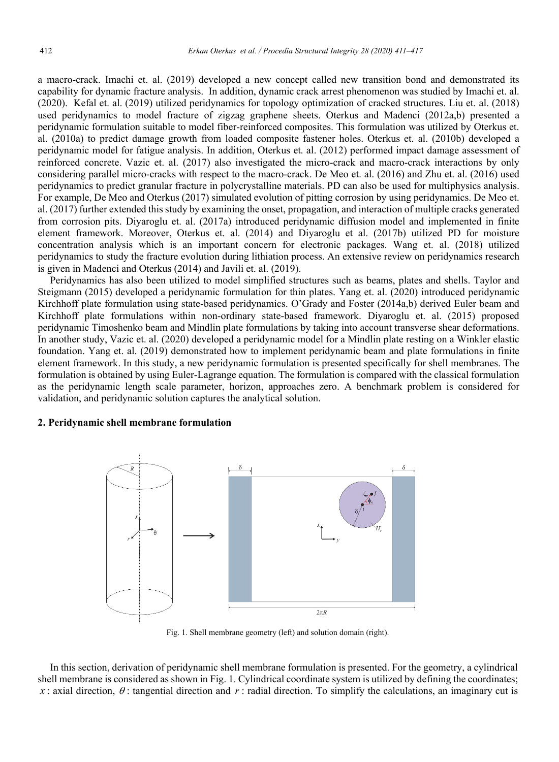a macro-crack. Imachi et. al. (2019) developed a new concept called new transition bond and demonstrated its capability for dynamic fracture analysis. In addition, dynamic crack arrest phenomenon was studied by Imachi et. al. (2020). Kefal et. al. (2019) utilized peridynamics for topology optimization of cracked structures. Liu et. al. (2018) used peridynamics to model fracture of zigzag graphene sheets. Oterkus and Madenci (2012a,b) presented a peridynamic formulation suitable to model fiber-reinforced composites. This formulation was utilized by Oterkus et. al. (2010a) to predict damage growth from loaded composite fastener holes. Oterkus et. al. (2010b) developed a peridynamic model for fatigue analysis. In addition, Oterkus et. al. (2012) performed impact damage assessment of reinforced concrete. Vazic et. al. (2017) also investigated the micro-crack and macro-crack interactions by only considering parallel micro-cracks with respect to the macro-crack. De Meo et. al. (2016) and Zhu et. al. (2016) used peridynamics to predict granular fracture in polycrystalline materials. PD can also be used for multiphysics analysis. For example, De Meo and Oterkus (2017) simulated evolution of pitting corrosion by using peridynamics. De Meo et. al. (2017) further extended this study by examining the onset, propagation, and interaction of multiple cracks generated from corrosion pits. Diyaroglu et. al. (2017a) introduced peridynamic diffusion model and implemented in finite element framework. Moreover, Oterkus et. al. (2014) and Diyaroglu et al. (2017b) utilized PD for moisture concentration analysis which is an important concern for electronic packages. Wang et. al. (2018) utilized peridynamics to study the fracture evolution during lithiation process. An extensive review on peridynamics research is given in Madenci and Oterkus (2014) and Javili et. al. (2019).

Peridynamics has also been utilized to model simplified structures such as beams, plates and shells. Taylor and Steigmann (2015) developed a peridynamic formulation for thin plates. Yang et. al. (2020) introduced peridynamic Kirchhoff plate formulation using state-based peridynamics. O'Grady and Foster (2014a,b) derived Euler beam and Kirchhoff plate formulations within non-ordinary state-based framework. Diyaroglu et. al. (2015) proposed peridynamic Timoshenko beam and Mindlin plate formulations by taking into account transverse shear deformations. In another study, Vazic et. al. (2020) developed a peridynamic model for a Mindlin plate resting on a Winkler elastic foundation. Yang et. al. (2019) demonstrated how to implement peridynamic beam and plate formulations in finite element framework. In this study, a new peridynamic formulation is presented specifically for shell membranes. The formulation is obtained by using Euler-Lagrange equation. The formulation is compared with the classical formulation as the peridynamic length scale parameter, horizon, approaches zero. A benchmark problem is considered for validation, and peridynamic solution captures the analytical solution.

#### **2. Peridynamic shell membrane formulation**



Fig. 1. Shell membrane geometry (left) and solution domain (right).

In this section, derivation of peridynamic shell membrane formulation is presented. For the geometry, a cylindrical shell membrane is considered as shown in Fig. 1. Cylindrical coordinate system is utilized by defining the coordinates; *x* : axial direction,  $\theta$  : tangential direction and *r* : radial direction. To simplify the calculations, an imaginary cut is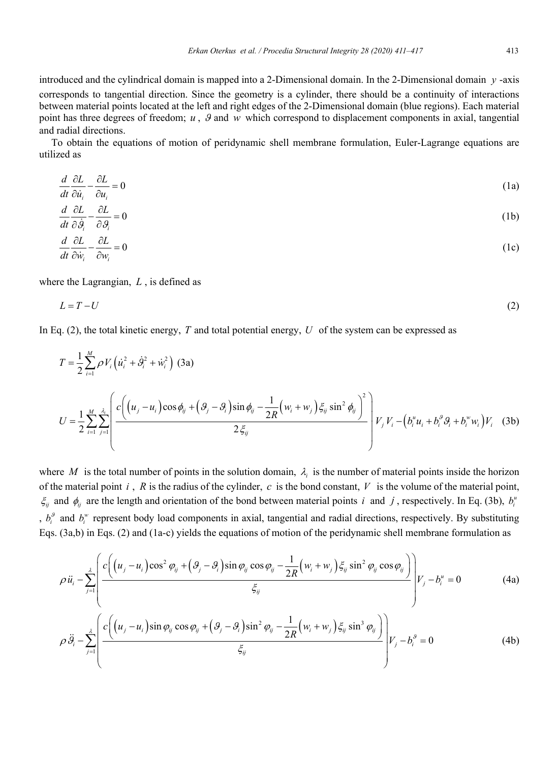introduced and the cylindrical domain is mapped into a 2-Dimensional domain. In the 2-Dimensional domain *y* -axis corresponds to tangential direction. Since the geometry is a cylinder, there should be a continuity of interactions between material points located at the left and right edges of the 2-Dimensional domain (blue regions). Each material point has three degrees of freedom;  $u$ ,  $\theta$  and  $w$  which correspond to displacement components in axial, tangential and radial directions.

To obtain the equations of motion of peridynamic shell membrane formulation, Euler-Lagrange equations are utilized as

$$
\frac{d}{dt}\frac{\partial L}{\partial \dot{u}_i} - \frac{\partial L}{\partial u_i} = 0\tag{1a}
$$

$$
\frac{d}{dt}\frac{\partial L}{\partial \dot{\theta}_i} - \frac{\partial L}{\partial \theta_i} = 0\tag{1b}
$$

$$
\frac{d}{dt}\frac{\partial L}{\partial \dot{w}_i} - \frac{\partial L}{\partial w_i} = 0
$$
\n(1c)

where the Lagrangian, *L* , is defined as

$$
L = T - U \tag{2}
$$

In Eq. (2), the total kinetic energy, *T* and total potential energy, *U* of the system can be expressed as

$$
T = \frac{1}{2} \sum_{i=1}^{M} \rho V_i \left( \dot{u}_i^2 + \dot{\theta}_i^2 + \dot{w}_i^2 \right)
$$
 (3a)  

$$
U = \frac{1}{2} \sum_{i=1}^{M} \sum_{j=1}^{\lambda_i} \left[ \frac{c \left( \left( u_j - u_i \right) \cos \phi_{ij} + \left( \mathcal{G}_j - \mathcal{G}_i \right) \sin \phi_{ij} - \frac{1}{2R} \left( w_i + w_j \right) \xi_{ij} \sin^2 \phi_{ij} \right)^2}{2 \xi_{ij}} \right] V_j V_i - \left( b_i^u u_i + b_i^{\theta} \mathcal{G}_i + b_i^w w_i \right) V_i
$$
 (3b)

where M is the total number of points in the solution domain,  $\lambda_i$  is the number of material points inside the horizon of the material point  $i$ ,  $R$  is the radius of the cylinder,  $c$  is the bond constant,  $V$  is the volume of the material point,  $\xi_{ij}$  and  $\phi_{ij}$  are the length and orientation of the bond between material points *i* and *j*, respectively. In Eq. (3b),  $b_i^{\mu}$ ,  $b_i^{\beta}$  and  $b_i^{\gamma}$  represent body load components in axial, tangential and radial directions, respectively. By substituting Eqs. (3a,b) in Eqs. (2) and (1a-c) yields the equations of motion of the peridynamic shell membrane formulation as

$$
\rho \ddot{u}_i - \sum_{j=1}^{\lambda} \left( \frac{c \left( (u_j - u_i) \cos^2 \varphi_{ij} + (\vartheta_j - \vartheta_i) \sin \varphi_{ij} \cos \varphi_{ij} - \frac{1}{2R} (w_i + w_j) \xi_{ij} \sin^2 \varphi_{ij} \cos \varphi_{ij} \right)}{\xi_{ij}} \right) V_j - b_i^u = 0 \tag{4a}
$$

$$
\rho \ddot{\theta}_{i} - \sum_{j=1}^{\lambda} \left( \frac{c \left( \left( u_{j} - u_{i} \right) \sin \varphi_{ij} \cos \varphi_{ij} + \left( \vartheta_{j} - \vartheta_{i} \right) \sin^{2} \varphi_{ij} - \frac{1}{2R} \left( w_{i} + w_{j} \right) \xi_{ij} \sin^{3} \varphi_{ij} \right)}{\xi_{ij}} \right) V_{j} - b_{i}^{\beta} = 0 \tag{4b}
$$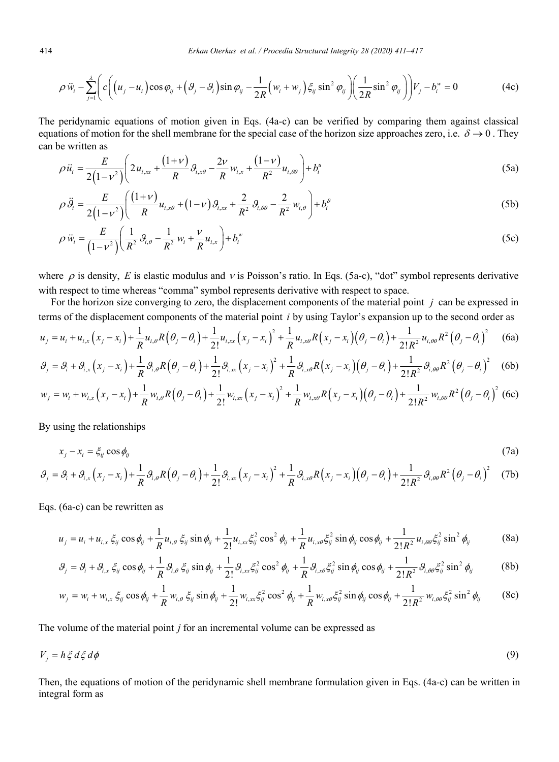$$
\rho \ddot{w}_i - \sum_{j=1}^{\lambda} \left( c \left( \left( u_j - u_i \right) \cos \varphi_{ij} + \left( \vartheta_j - \vartheta_i \right) \sin \varphi_{ij} - \frac{1}{2R} \left( w_i + w_j \right) \xi_{ij} \sin^2 \varphi_{ij} \right) \left( \frac{1}{2R} \sin^2 \varphi_{ij} \right) \right) V_j - b_i^{\omega} = 0 \tag{4c}
$$

The peridynamic equations of motion given in Eqs. (4a-c) can be verified by comparing them against classical equations of motion for the shell membrane for the special case of the horizon size approaches zero, i.e.  $\delta \to 0$ . They can be written as

$$
\rho \ddot{u}_i = \frac{E}{2(1 - v^2)} \left( 2u_{i,xx} + \frac{(1 + v)}{R} \partial_{i,x\theta} - \frac{2v}{R} w_{i,x} + \frac{(1 - v)}{R^2} u_{i,\theta\theta} \right) + b_i^u
$$
\n(5a)

$$
\rho \ddot{\theta}_{i} = \frac{E}{2(1-\nu^{2})} \left( \frac{(1+\nu)}{R} u_{i,x\theta} + (1-\nu) \theta_{i,xx} + \frac{2}{R^{2}} \theta_{i,\theta\theta} - \frac{2}{R^{2}} w_{i,\theta} \right) + b_{i}^{\theta}
$$
(5b)

$$
\rho \ddot{w}_i = \frac{E}{(1 - v^2)} \left( \frac{1}{R^2} \mathcal{G}_{i,\theta} - \frac{1}{R^2} w_i + \frac{v}{R} u_{i,x} \right) + b_i^w
$$
\n(5c)

where  $\rho$  is density, *E* is elastic modulus and  $\nu$  is Poisson's ratio. In Eqs. (5a-c), "dot" symbol represents derivative with respect to time whereas "comma" symbol represents derivative with respect to space.

For the horizon size converging to zero, the displacement components of the material point *j* can be expressed in terms of the displacement components of the material point *i* by using Taylor's expansion up to the second order as

$$
u_{j} = u_{i} + u_{i,x} (x_{j} - x_{i}) + \frac{1}{R} u_{i,\theta} R(\theta_{j} - \theta_{i}) + \frac{1}{2!} u_{i,x} (x_{j} - x_{i})^{2} + \frac{1}{R} u_{i,x\theta} R(x_{j} - x_{i}) (\theta_{j} - \theta_{i}) + \frac{1}{2!R^{2}} u_{i,\theta\theta} R^{2}(\theta_{j} - \theta_{i})^{2}
$$
 (6a)

$$
\mathcal{G}_j = \mathcal{G}_i + \mathcal{G}_{i,x}\left(x_j - x_i\right) + \frac{1}{R}\mathcal{G}_{i,\theta}R\left(\theta_j - \theta_i\right) + \frac{1}{2!}\mathcal{G}_{i,x}\left(x_j - x_i\right)^2 + \frac{1}{R}\mathcal{G}_{i,x\theta}R\left(x_j - x_i\right)\left(\theta_j - \theta_i\right) + \frac{1}{2!R^2}\mathcal{G}_{i,\theta\theta}R^2\left(\theta_j - \theta_i\right)^2 \tag{6b}
$$

$$
w_j = w_i + w_{i,x} (x_j - x_i) + \frac{1}{R} w_{i,\theta} R(\theta_j - \theta_i) + \frac{1}{2!} w_{i,xx} (x_j - x_i)^2 + \frac{1}{R} w_{i,x\theta} R(x_j - x_i) (\theta_j - \theta_i) + \frac{1}{2!R^2} w_{i,\theta\theta} R^2(\theta_j - \theta_i)^2
$$
 (6c)

By using the relationships

$$
x_j - x_i = \xi_{ij} \cos \phi_{ij} \tag{7a}
$$

$$
\mathcal{G}_j = \mathcal{G}_i + \mathcal{G}_{i,x}\left(x_j - x_i\right) + \frac{1}{R}\mathcal{G}_{i,\theta}R\left(\theta_j - \theta_i\right) + \frac{1}{2!}\mathcal{G}_{i,x}\left(x_j - x_i\right)^2 + \frac{1}{R}\mathcal{G}_{i,x\theta}R\left(x_j - x_i\right)\left(\theta_j - \theta_i\right) + \frac{1}{2!R^2}\mathcal{G}_{i,\theta\theta}R^2\left(\theta_j - \theta_i\right)^2 \tag{7b}
$$

Eqs. (6a-c) can be rewritten as

$$
u_j = u_i + u_{i,x} \xi_{ij} \cos \phi_{ij} + \frac{1}{R} u_{i,\theta} \xi_{ij} \sin \phi_{ij} + \frac{1}{2!} u_{i,xx} \xi_{ij}^2 \cos^2 \phi_{ij} + \frac{1}{R} u_{i,x\theta} \xi_{ij}^2 \sin \phi_{ij} \cos \phi_{ij} + \frac{1}{2!R^2} u_{i,\theta\theta} \xi_{ij}^2 \sin^2 \phi_{ij}
$$
(8a)

$$
\mathcal{G}_j = \mathcal{G}_i + \mathcal{G}_{i,x} \xi_{ij} \cos \phi_{ij} + \frac{1}{R} \mathcal{G}_{i,\theta} \xi_{ij} \sin \phi_{ij} + \frac{1}{2!} \mathcal{G}_{i,x} \xi_{ij}^2 \cos^2 \phi_{ij} + \frac{1}{R} \mathcal{G}_{i,x\theta} \xi_{ij}^2 \sin \phi_{ij} \cos \phi_{ij} + \frac{1}{2!R^2} \mathcal{G}_{i,\theta\theta} \xi_{ij}^2 \sin^2 \phi_{ij}
$$
(8b)

$$
w_j = w_i + w_{i,x} \xi_{ij} \cos \phi_{ij} + \frac{1}{R} w_{i,\theta} \xi_{ij} \sin \phi_{ij} + \frac{1}{2!} w_{i,xx} \xi_{ij}^2 \cos^2 \phi_{ij} + \frac{1}{R} w_{i,x\theta} \xi_{ij}^2 \sin \phi_{ij} \cos \phi_{ij} + \frac{1}{2!R^2} w_{i,\theta\theta} \xi_{ij}^2 \sin^2 \phi_{ij}
$$
(8c)

The volume of the material point *j* for an incremental volume can be expressed as

$$
V_j = h \xi \, d \xi \, d\phi \tag{9}
$$

Then, the equations of motion of the peridynamic shell membrane formulation given in Eqs. (4a-c) can be written in integral form as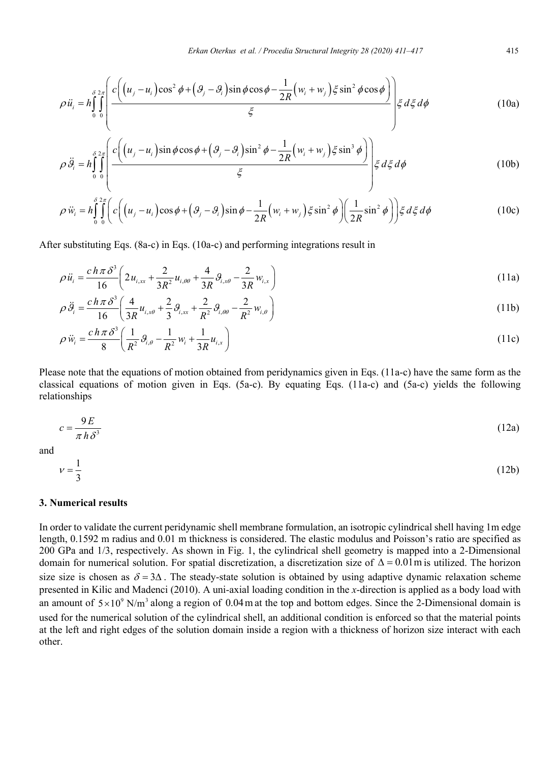$$
\rho \ddot{u}_i = h \int_0^{\delta 2\pi} \left( \frac{c \left( \left( u_j - u_i \right) \cos^2 \phi + \left( \vartheta_j - \vartheta_i \right) \sin \phi \cos \phi - \frac{1}{2R} \left( w_i + w_j \right) \xi \sin^2 \phi \cos \phi \right)}{\xi} \right) \xi d\xi d\phi \tag{10a}
$$

$$
\rho \ddot{\theta}_{i} = h \int_{0}^{\delta} \int_{0}^{2\pi} \left( \frac{c \left( (u_{j} - u_{i}) \sin \phi \cos \phi + (\theta_{j} - \theta_{i}) \sin^{2} \phi - \frac{1}{2R} (w_{i} + w_{j}) \xi \sin^{3} \phi \right)}{\xi} \right) \xi d\xi d\phi
$$
\n(10b)

$$
\rho \ddot{w}_i = h \int_0^{\delta} \int_0^{\delta} \left( c \left( \left( u_j - u_i \right) \cos \phi + \left( \mathcal{G}_j - \mathcal{G}_i \right) \sin \phi - \frac{1}{2R} \left( w_i + w_j \right) \xi \sin^2 \phi \right) \left( \frac{1}{2R} \sin^2 \phi \right) \right) \xi \, d\xi \, d\phi \tag{10c}
$$

After substituting Eqs. (8a-c) in Eqs. (10a-c) and performing integrations result in

$$
\rho \ddot{u}_i = \frac{c \, h \, \pi \, \delta^3}{16} \bigg( 2 u_{i,xx} + \frac{2}{3R^2} u_{i,\theta\theta} + \frac{4}{3R} \, \vartheta_{i,x\theta} - \frac{2}{3R} w_{i,x} \bigg) \tag{11a}
$$

$$
\rho \ddot{\theta}_{i} = \frac{c h \pi \delta^{3}}{16} \left( \frac{4}{3R} u_{i,x\theta} + \frac{2}{3} \theta_{i,xx} + \frac{2}{R^{2}} \theta_{i,\theta\theta} - \frac{2}{R^{2}} w_{i,\theta} \right)
$$
(11b)

$$
\rho \ddot{w}_i = \frac{c \, h \, \pi \, \delta^3}{8} \left( \frac{1}{R^2} \, \mathcal{G}_{i,\theta} - \frac{1}{R^2} \, w_i + \frac{1}{3R} u_{i,x} \right) \tag{11c}
$$

Please note that the equations of motion obtained from peridynamics given in Eqs. (11a-c) have the same form as the classical equations of motion given in Eqs. (5a-c). By equating Eqs. (11a-c) and (5a-c) yields the following relationships

$$
c = \frac{9E}{\pi h \delta^3} \tag{12a}
$$

and

$$
v = \frac{1}{3} \tag{12b}
$$

#### **3. Numerical results**

In order to validate the current peridynamic shell membrane formulation, an isotropic cylindrical shell having 1m edge length, 0.1592 m radius and 0.01 m thickness is considered. The elastic modulus and Poisson's ratio are specified as 200 GPa and 1/3, respectively. As shown in Fig. 1, the cylindrical shell geometry is mapped into a 2-Dimensional domain for numerical solution. For spatial discretization, a discretization size of  $\Delta = 0.01$ m is utilized. The horizon size size is chosen as  $\delta = 3\Delta$ . The steady-state solution is obtained by using adaptive dynamic relaxation scheme presented in Kilic and Madenci (2010). A uni-axial loading condition in the *x*-direction is applied as a body load with an amount of  $5 \times 10^9$  N/m<sup>3</sup> along a region of 0.04 m at the top and bottom edges. Since the 2-Dimensional domain is used for the numerical solution of the cylindrical shell, an additional condition is enforced so that the material points at the left and right edges of the solution domain inside a region with a thickness of horizon size interact with each other.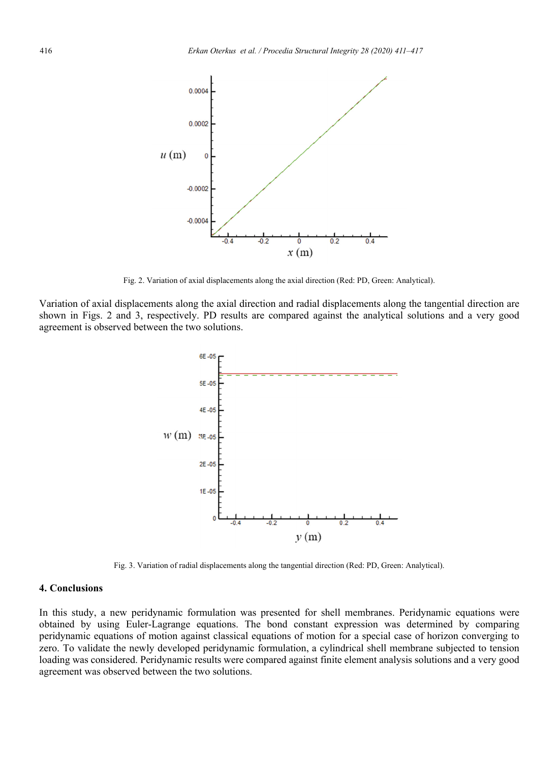

Fig. 2. Variation of axial displacements along the axial direction (Red: PD, Green: Analytical).

Variation of axial displacements along the axial direction and radial displacements along the tangential direction are shown in Figs. 2 and 3, respectively. PD results are compared against the analytical solutions and a very good agreement is observed between the two solutions.



Fig. 3. Variation of radial displacements along the tangential direction (Red: PD, Green: Analytical).

## **4. Conclusions**

In this study, a new peridynamic formulation was presented for shell membranes. Peridynamic equations were obtained by using Euler-Lagrange equations. The bond constant expression was determined by comparing peridynamic equations of motion against classical equations of motion for a special case of horizon converging to zero. To validate the newly developed peridynamic formulation, a cylindrical shell membrane subjected to tension loading was considered. Peridynamic results were compared against finite element analysis solutions and a very good agreement was observed between the two solutions.